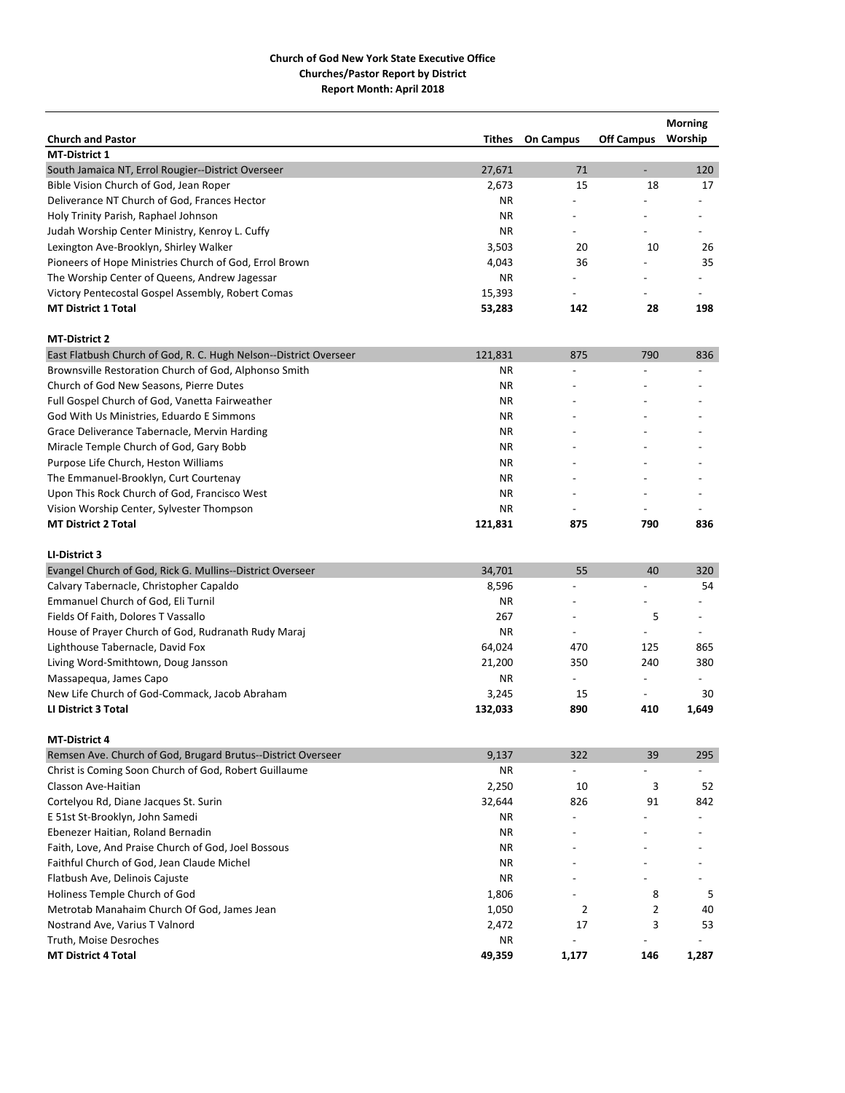|                                                                   |           |                          |                          | <b>Morning</b>           |
|-------------------------------------------------------------------|-----------|--------------------------|--------------------------|--------------------------|
| <b>Church and Pastor</b>                                          | Tithes    | <b>On Campus</b>         | <b>Off Campus</b>        | Worship                  |
| <b>MT-District 1</b>                                              |           |                          |                          |                          |
| South Jamaica NT, Errol Rougier--District Overseer                | 27,671    | 71                       | $\overline{\phantom{a}}$ | 120                      |
| Bible Vision Church of God, Jean Roper                            | 2,673     | 15                       | 18                       | 17                       |
| Deliverance NT Church of God, Frances Hector                      | ΝR        |                          |                          |                          |
| Holy Trinity Parish, Raphael Johnson                              | ΝR        |                          |                          |                          |
| Judah Worship Center Ministry, Kenroy L. Cuffy                    | <b>NR</b> |                          |                          |                          |
| Lexington Ave-Brooklyn, Shirley Walker                            | 3,503     | 20                       | 10                       | 26                       |
| Pioneers of Hope Ministries Church of God, Errol Brown            | 4,043     | 36                       |                          | 35                       |
| The Worship Center of Queens, Andrew Jagessar                     | ΝR        |                          |                          |                          |
| Victory Pentecostal Gospel Assembly, Robert Comas                 | 15,393    | $\overline{\phantom{a}}$ |                          |                          |
| <b>MT District 1 Total</b>                                        | 53,283    | 142                      | 28                       | 198                      |
| <b>MT-District 2</b>                                              |           |                          |                          |                          |
| East Flatbush Church of God, R. C. Hugh Nelson--District Overseer | 121,831   | 875                      | 790                      | 836                      |
| Brownsville Restoration Church of God, Alphonso Smith             | <b>NR</b> |                          |                          |                          |
| Church of God New Seasons, Pierre Dutes                           | ΝR        |                          |                          |                          |
| Full Gospel Church of God, Vanetta Fairweather                    | <b>NR</b> |                          |                          |                          |
| God With Us Ministries, Eduardo E Simmons                         | ΝR        |                          |                          |                          |
| Grace Deliverance Tabernacle, Mervin Harding                      | <b>NR</b> |                          |                          |                          |
| Miracle Temple Church of God, Gary Bobb                           | ΝR        |                          |                          |                          |
| Purpose Life Church, Heston Williams                              | <b>NR</b> |                          |                          |                          |
| The Emmanuel-Brooklyn, Curt Courtenay                             | ΝR        |                          |                          |                          |
| Upon This Rock Church of God, Francisco West                      | <b>NR</b> |                          |                          |                          |
| Vision Worship Center, Sylvester Thompson                         | ΝR        |                          |                          |                          |
| <b>MT District 2 Total</b>                                        | 121,831   | 875                      | 790                      | 836                      |
| LI-District 3                                                     |           |                          |                          |                          |
| Evangel Church of God, Rick G. Mullins--District Overseer         | 34,701    | 55                       | 40                       | 320                      |
| Calvary Tabernacle, Christopher Capaldo                           | 8,596     |                          |                          | 54                       |
| Emmanuel Church of God, Eli Turnil                                | <b>NR</b> |                          |                          |                          |
| Fields Of Faith, Dolores T Vassallo                               | 267       |                          | 5                        |                          |
| House of Prayer Church of God, Rudranath Rudy Maraj               | <b>NR</b> | $\overline{\phantom{a}}$ | $\overline{\phantom{a}}$ | $\overline{\phantom{a}}$ |
| Lighthouse Tabernacle, David Fox                                  | 64,024    | 470                      | 125                      | 865                      |
| Living Word-Smithtown, Doug Jansson                               | 21,200    | 350                      | 240                      | 380                      |
| Massapequa, James Capo                                            | ΝR        | $\sim$                   | $\overline{a}$           | $\overline{\phantom{a}}$ |
| New Life Church of God-Commack, Jacob Abraham                     | 3,245     | 15                       | $\overline{\phantom{a}}$ | 30                       |
| <b>LI District 3 Total</b>                                        | 132,033   | 890                      | 410                      | 1,649                    |
| <b>MT-District 4</b>                                              |           |                          |                          |                          |
| Remsen Ave. Church of God, Brugard Brutus--District Overseer      | 9,137     | 322                      | 39                       | 295                      |
| Christ is Coming Soon Church of God, Robert Guillaume             | ΝR        |                          |                          |                          |
| Classon Ave-Haitian                                               | 2,250     | 10                       | 3                        | 52                       |
| Cortelyou Rd, Diane Jacques St. Surin                             | 32,644    | 826                      | 91                       | 842                      |
| E 51st St-Brooklyn, John Samedi                                   | ΝR        |                          |                          |                          |
| Ebenezer Haitian, Roland Bernadin                                 | NR.       |                          |                          |                          |
| Faith, Love, And Praise Church of God, Joel Bossous               | ΝR        |                          |                          |                          |
| Faithful Church of God, Jean Claude Michel                        | NR.       |                          |                          |                          |
| Flatbush Ave, Delinois Cajuste                                    | ΝR        |                          |                          |                          |
| Holiness Temple Church of God                                     | 1,806     |                          | 8                        | 5                        |
| Metrotab Manahaim Church Of God, James Jean                       | 1,050     | 2                        | 2                        | 40                       |
| Nostrand Ave, Varius T Valnord                                    | 2,472     | 17                       | 3                        | 53                       |
| Truth, Moise Desroches                                            | ΝR        |                          |                          |                          |
| <b>MT District 4 Total</b>                                        | 49,359    | 1,177                    | 146                      | 1,287                    |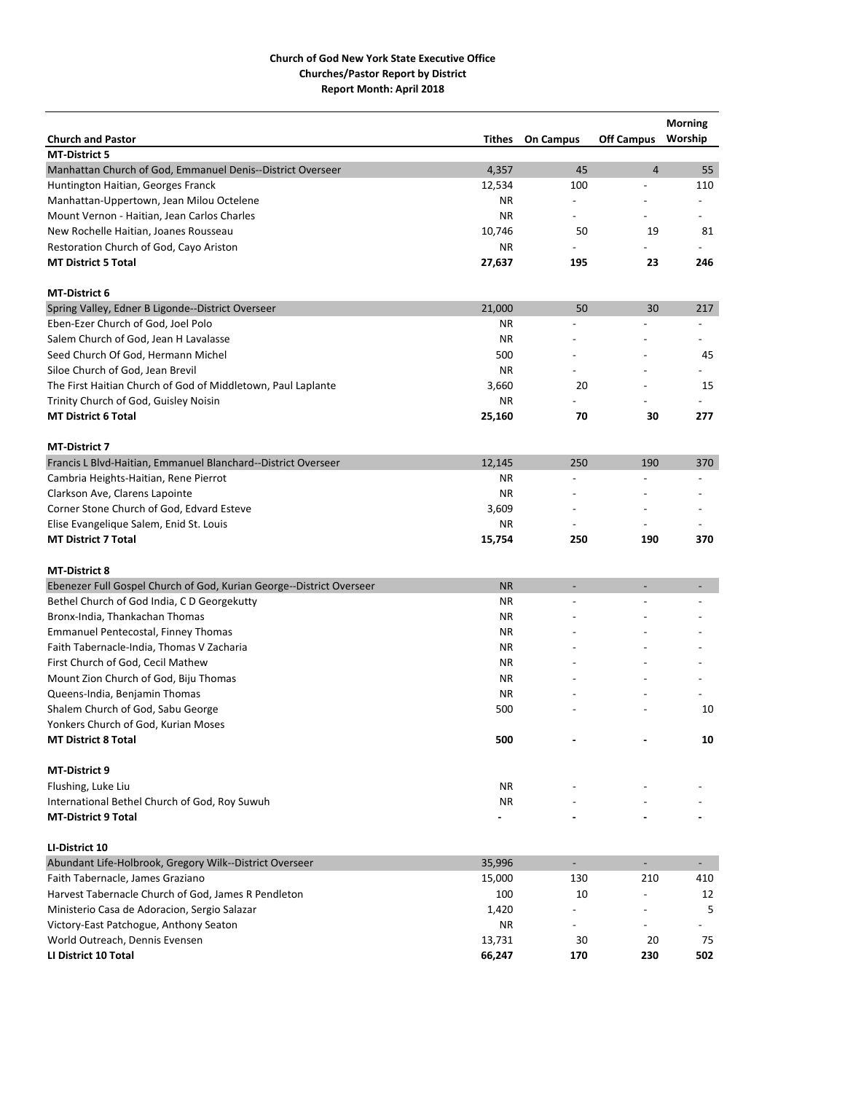|                                                                      |           |                          |                          | <b>Morning</b> |
|----------------------------------------------------------------------|-----------|--------------------------|--------------------------|----------------|
| <b>Church and Pastor</b>                                             | Tithes    | <b>On Campus</b>         | <b>Off Campus</b>        | Worship        |
| <b>MT-District 5</b>                                                 |           |                          |                          |                |
| Manhattan Church of God, Emmanuel Denis--District Overseer           | 4,357     | 45                       | $\overline{4}$           | 55             |
| Huntington Haitian, Georges Franck                                   | 12,534    | 100                      |                          | 110            |
| Manhattan-Uppertown, Jean Milou Octelene                             | ΝR        | $\overline{\phantom{a}}$ |                          |                |
| Mount Vernon - Haitian, Jean Carlos Charles                          | ΝR        | $\overline{\phantom{a}}$ |                          |                |
| New Rochelle Haitian, Joanes Rousseau                                | 10,746    | 50                       | 19                       | 81             |
| Restoration Church of God, Cayo Ariston                              | ΝR        |                          |                          |                |
| <b>MT District 5 Total</b>                                           | 27,637    | 195                      | 23                       | 246            |
| <b>MT-District 6</b>                                                 |           |                          |                          |                |
| Spring Valley, Edner B Ligonde--District Overseer                    | 21,000    | 50                       | 30                       | 217            |
| Eben-Ezer Church of God, Joel Polo                                   | ΝR        |                          |                          |                |
| Salem Church of God, Jean H Lavalasse                                | <b>NR</b> |                          |                          |                |
| Seed Church Of God, Hermann Michel                                   | 500       |                          |                          | 45             |
| Siloe Church of God, Jean Brevil                                     | <b>NR</b> |                          |                          |                |
| The First Haitian Church of God of Middletown, Paul Laplante         | 3,660     | 20                       |                          | 15             |
| Trinity Church of God, Guisley Noisin                                | ΝR        |                          |                          |                |
| <b>MT District 6 Total</b>                                           | 25,160    | 70                       | 30                       | 277            |
| <b>MT-District 7</b>                                                 |           |                          |                          |                |
| Francis L Blvd-Haitian, Emmanuel Blanchard--District Overseer        | 12,145    | 250                      | 190                      | 370            |
| Cambria Heights-Haitian, Rene Pierrot                                | <b>NR</b> |                          |                          |                |
| Clarkson Ave, Clarens Lapointe                                       | ΝR        |                          |                          |                |
| Corner Stone Church of God, Edvard Esteve                            | 3,609     |                          |                          |                |
| Elise Evangelique Salem, Enid St. Louis                              | ΝR        |                          |                          |                |
| <b>MT District 7 Total</b>                                           | 15,754    | 250                      | 190                      | 370            |
| <b>MT-District 8</b>                                                 |           |                          |                          |                |
| Ebenezer Full Gospel Church of God, Kurian George--District Overseer | <b>NR</b> |                          |                          |                |
| Bethel Church of God India, C D Georgekutty                          | ΝR        |                          |                          |                |
| Bronx-India, Thankachan Thomas                                       | ΝR        |                          |                          |                |
| <b>Emmanuel Pentecostal, Finney Thomas</b>                           | ΝR        |                          |                          |                |
| Faith Tabernacle-India, Thomas V Zacharia                            | ΝR        |                          |                          |                |
| First Church of God, Cecil Mathew                                    | ΝR        |                          |                          |                |
| Mount Zion Church of God, Biju Thomas                                | <b>NR</b> |                          |                          |                |
|                                                                      | <b>NR</b> |                          |                          |                |
| Queens-India, Benjamin Thomas<br>Shalem Church of God, Sabu George   | 500       |                          |                          | 10             |
|                                                                      |           |                          |                          |                |
| Yonkers Church of God, Kurian Moses                                  |           |                          |                          |                |
| <b>MT District 8 Total</b>                                           | 500       |                          |                          | 10             |
| MT-District 9                                                        |           |                          |                          |                |
| Flushing, Luke Liu                                                   | NR        |                          |                          |                |
| International Bethel Church of God, Roy Suwuh                        | NR        |                          |                          |                |
| <b>MT-District 9 Total</b>                                           |           |                          |                          |                |
| LI-District 10                                                       |           |                          |                          |                |
| Abundant Life-Holbrook, Gregory Wilk--District Overseer              | 35,996    | $\blacksquare$           | $\overline{\phantom{a}}$ | $\sim$         |
| Faith Tabernacle, James Graziano                                     | 15,000    | 130                      | 210                      | 410            |
| Harvest Tabernacle Church of God, James R Pendleton                  | 100       | 10                       |                          | 12             |
| Ministerio Casa de Adoracion, Sergio Salazar                         | 1,420     |                          |                          | 5              |
| Victory-East Patchogue, Anthony Seaton                               | NR        |                          |                          |                |
| World Outreach, Dennis Evensen                                       | 13,731    | 30                       | 20                       | 75             |
| LI District 10 Total                                                 | 66,247    | 170                      | 230                      | 502            |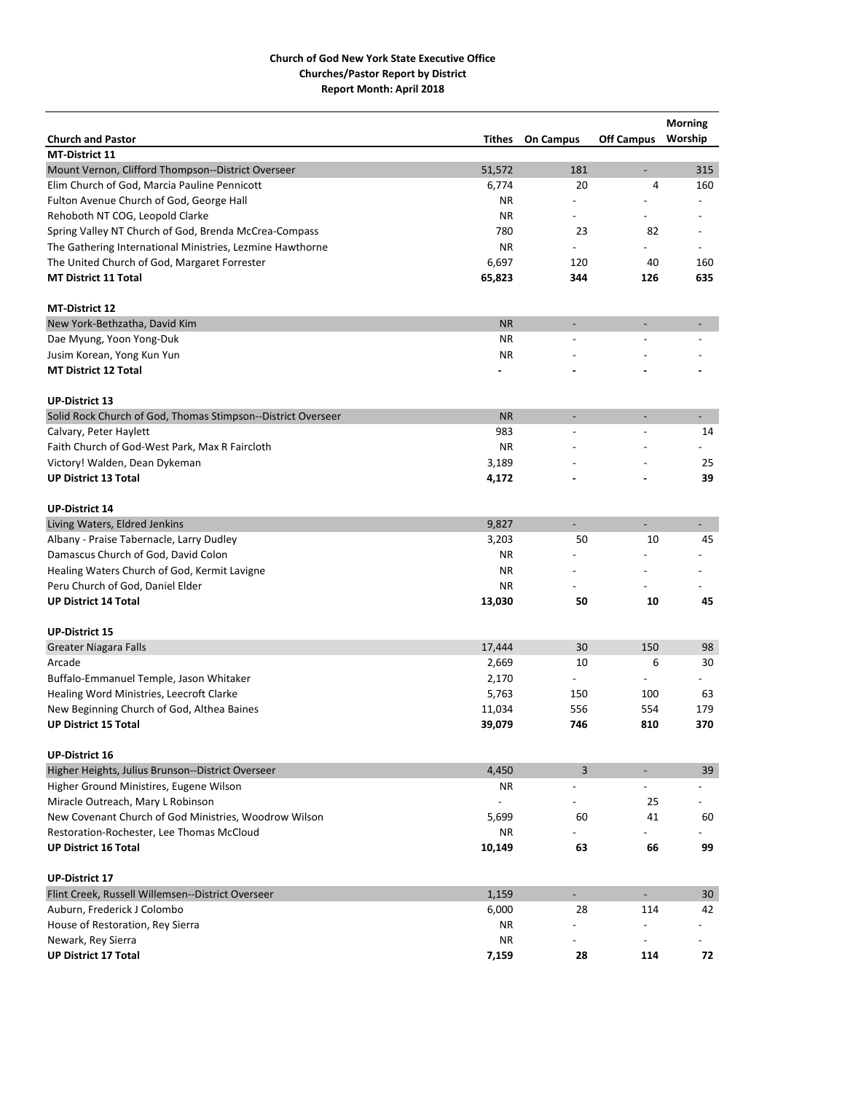|                                                              |           |                          |                          | <b>Morning</b>               |
|--------------------------------------------------------------|-----------|--------------------------|--------------------------|------------------------------|
| <b>Church and Pastor</b>                                     | Tithes    | <b>On Campus</b>         | <b>Off Campus</b>        | Worship                      |
| <b>MT-District 11</b>                                        |           |                          |                          |                              |
| Mount Vernon, Clifford Thompson--District Overseer           | 51,572    | 181                      | $\overline{a}$           | 315                          |
| Elim Church of God, Marcia Pauline Pennicott                 | 6,774     | 20                       | 4                        | 160                          |
| Fulton Avenue Church of God, George Hall                     | ΝR        |                          |                          |                              |
| Rehoboth NT COG, Leopold Clarke                              | ΝR        |                          |                          |                              |
| Spring Valley NT Church of God, Brenda McCrea-Compass        | 780       | 23                       | 82                       |                              |
| The Gathering International Ministries, Lezmine Hawthorne    | <b>NR</b> |                          |                          |                              |
| The United Church of God, Margaret Forrester                 | 6,697     | 120                      | 40                       | 160                          |
| <b>MT District 11 Total</b>                                  | 65,823    | 344                      | 126                      | 635                          |
| <b>MT-District 12</b>                                        |           |                          |                          |                              |
| New York-Bethzatha, David Kim                                | <b>NR</b> | $\overline{\phantom{a}}$ | $\overline{a}$           |                              |
| Dae Myung, Yoon Yong-Duk                                     | <b>NR</b> |                          |                          |                              |
| Jusim Korean, Yong Kun Yun                                   | <b>NR</b> |                          |                          |                              |
| <b>MT District 12 Total</b>                                  |           |                          |                          |                              |
| <b>UP-District 13</b>                                        |           |                          |                          |                              |
| Solid Rock Church of God, Thomas Stimpson--District Overseer | <b>NR</b> | $\overline{a}$           |                          |                              |
| Calvary, Peter Haylett                                       | 983       |                          |                          | 14                           |
| Faith Church of God-West Park, Max R Faircloth               | <b>NR</b> |                          |                          |                              |
| Victory! Walden, Dean Dykeman                                | 3,189     |                          |                          | 25                           |
| <b>UP District 13 Total</b>                                  | 4,172     |                          |                          | 39                           |
|                                                              |           |                          |                          |                              |
| <b>UP-District 14</b>                                        |           |                          |                          |                              |
| Living Waters, Eldred Jenkins                                | 9,827     |                          |                          | $\qquad \qquad \blacksquare$ |
| Albany - Praise Tabernacle, Larry Dudley                     | 3,203     | 50                       | 10                       | 45                           |
| Damascus Church of God, David Colon                          | <b>NR</b> |                          |                          |                              |
| Healing Waters Church of God, Kermit Lavigne                 | ΝR        |                          |                          |                              |
| Peru Church of God, Daniel Elder                             | ΝR        |                          |                          |                              |
| <b>UP District 14 Total</b>                                  | 13,030    | 50                       | 10                       | 45                           |
| <b>UP-District 15</b>                                        |           |                          |                          |                              |
| <b>Greater Niagara Falls</b>                                 | 17,444    | 30                       | 150                      | 98                           |
| Arcade                                                       | 2,669     | 10                       | 6                        | 30                           |
| Buffalo-Emmanuel Temple, Jason Whitaker                      | 2,170     | $\overline{\phantom{a}}$ | $\overline{\phantom{a}}$ |                              |
| Healing Word Ministries, Leecroft Clarke                     | 5,763     | 150                      | 100                      | 63                           |
| New Beginning Church of God, Althea Baines                   | 11,034    | 556                      | 554                      | 179                          |
| <b>UP District 15 Total</b>                                  | 39,079    | 746                      | 810                      | 370                          |
|                                                              |           |                          |                          |                              |
| <b>UP-District 16</b>                                        |           |                          |                          |                              |
| Higher Heights, Julius Brunson--District Overseer            | 4,450     | 3                        |                          | 39                           |
| Higher Ground Ministires, Eugene Wilson                      | ΝR        | $\overline{\phantom{a}}$ | $\overline{a}$           |                              |
| Miracle Outreach, Mary L Robinson                            |           |                          | 25                       |                              |
| New Covenant Church of God Ministries, Woodrow Wilson        | 5,699     | 60                       | 41                       | 60                           |
| Restoration-Rochester, Lee Thomas McCloud                    | ΝR        |                          |                          |                              |
| <b>UP District 16 Total</b>                                  | 10,149    | 63                       | 66                       | 99                           |
| <b>UP-District 17</b>                                        |           |                          |                          |                              |
| Flint Creek, Russell Willemsen--District Overseer            | 1,159     | $\blacksquare$           | $\blacksquare$           | 30                           |
| Auburn, Frederick J Colombo                                  | 6,000     | 28                       | 114                      | 42                           |
| House of Restoration, Rey Sierra                             | ΝR        |                          |                          |                              |
| Newark, Rey Sierra                                           | <b>NR</b> |                          | $\overline{\phantom{a}}$ |                              |
| <b>UP District 17 Total</b>                                  | 7,159     | 28                       | 114                      | 72                           |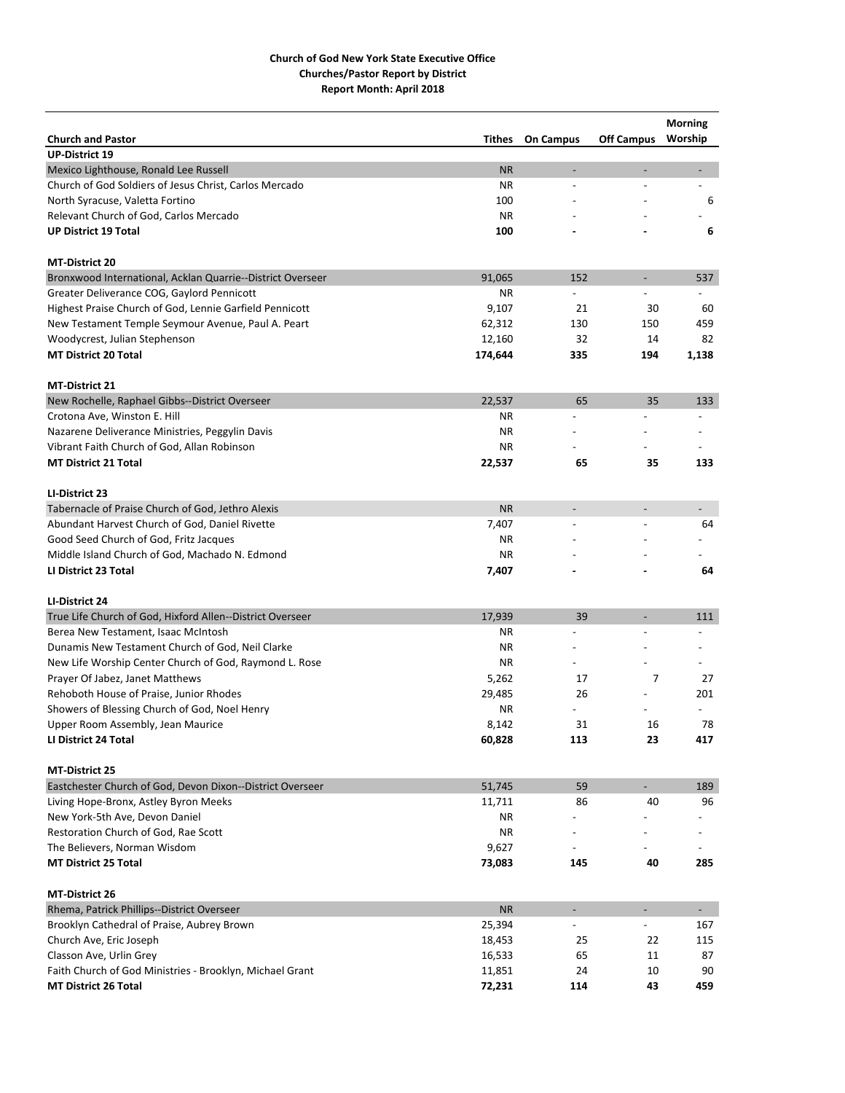|                                                            |           |                          |                          | <b>Morning</b> |
|------------------------------------------------------------|-----------|--------------------------|--------------------------|----------------|
| <b>Church and Pastor</b>                                   | Tithes    | <b>On Campus</b>         | <b>Off Campus</b>        | Worship        |
| <b>UP-District 19</b>                                      |           |                          |                          |                |
| Mexico Lighthouse, Ronald Lee Russell                      | <b>NR</b> | $\overline{\phantom{a}}$ | $\overline{\phantom{a}}$ |                |
| Church of God Soldiers of Jesus Christ, Carlos Mercado     | ΝR        | $\overline{a}$           |                          | $\overline{a}$ |
| North Syracuse, Valetta Fortino                            | 100       |                          |                          | 6              |
| Relevant Church of God, Carlos Mercado                     | ΝR        |                          |                          |                |
| <b>UP District 19 Total</b>                                | 100       |                          |                          | 6              |
| <b>MT-District 20</b>                                      |           |                          |                          |                |
| Bronxwood International, Acklan Quarrie--District Overseer | 91,065    | 152                      | $\overline{\phantom{a}}$ | 537            |
| Greater Deliverance COG, Gaylord Pennicott                 | ΝR        |                          |                          |                |
| Highest Praise Church of God, Lennie Garfield Pennicott    | 9,107     | 21                       | 30                       | 60             |
| New Testament Temple Seymour Avenue, Paul A. Peart         | 62,312    | 130                      | 150                      | 459            |
| Woodycrest, Julian Stephenson                              | 12,160    | 32                       | 14                       | 82             |
| <b>MT District 20 Total</b>                                | 174,644   | 335                      | 194                      | 1,138          |
| <b>MT-District 21</b>                                      |           |                          |                          |                |
| New Rochelle, Raphael Gibbs--District Overseer             | 22,537    | 65                       | 35                       | 133            |
| Crotona Ave, Winston E. Hill                               | ΝR        | L,                       |                          |                |
| Nazarene Deliverance Ministries, Peggylin Davis            | ΝR        |                          |                          |                |
| Vibrant Faith Church of God, Allan Robinson                | ΝR        |                          |                          |                |
| <b>MT District 21 Total</b>                                | 22,537    | 65                       | 35                       | 133            |
|                                                            |           |                          |                          |                |
| LI-District 23                                             |           |                          |                          |                |
| Tabernacle of Praise Church of God, Jethro Alexis          | <b>NR</b> | $\overline{\phantom{a}}$ | $\overline{\phantom{m}}$ |                |
| Abundant Harvest Church of God, Daniel Rivette             | 7,407     | $\overline{\phantom{a}}$ |                          | 64             |
| Good Seed Church of God, Fritz Jacques                     | ΝR        |                          |                          |                |
| Middle Island Church of God, Machado N. Edmond             | ΝR        |                          |                          |                |
| LI District 23 Total                                       | 7,407     |                          |                          | 64             |
| LI-District 24                                             |           |                          |                          |                |
| True Life Church of God, Hixford Allen--District Overseer  | 17,939    | 39                       | $\overline{\phantom{a}}$ | 111            |
| Berea New Testament, Isaac McIntosh                        | ΝR        | $\overline{a}$           |                          |                |
| Dunamis New Testament Church of God, Neil Clarke           | ΝR        |                          |                          |                |
| New Life Worship Center Church of God, Raymond L. Rose     | ΝR        |                          |                          |                |
| Prayer Of Jabez, Janet Matthews                            | 5,262     | 17                       | 7                        | 27             |
| Rehoboth House of Praise, Junior Rhodes                    | 29,485    | 26                       |                          | 201            |
| Showers of Blessing Church of God, Noel Henry              | ΝR        |                          |                          |                |
| Upper Room Assembly, Jean Maurice                          | 8,142     | 31                       | 16                       | 78             |
| LI District 24 Total                                       | 60,828    | 113                      | 23                       | 417            |
| <b>MT-District 25</b>                                      |           |                          |                          |                |
| Eastchester Church of God, Devon Dixon--District Overseer  | 51,745    | 59                       | $\blacksquare$           | 189            |
| Living Hope-Bronx, Astley Byron Meeks                      | 11,711    | 86                       | 40                       | 96             |
| New York-5th Ave, Devon Daniel                             | ΝR        |                          |                          |                |
| Restoration Church of God, Rae Scott                       | ΝR        |                          |                          |                |
| The Believers, Norman Wisdom                               | 9,627     |                          |                          |                |
| <b>MT District 25 Total</b>                                | 73,083    | 145                      | 40                       | 285            |
| MT-District 26                                             |           |                          |                          |                |
| Rhema, Patrick Phillips--District Overseer                 | <b>NR</b> | $\overline{\phantom{a}}$ | $\overline{\phantom{a}}$ | $\sim$         |
| Brooklyn Cathedral of Praise, Aubrey Brown                 | 25,394    |                          |                          | 167            |
| Church Ave, Eric Joseph                                    | 18,453    | 25                       | 22                       | 115            |
| Classon Ave, Urlin Grey                                    | 16,533    | 65                       | 11                       | 87             |
| Faith Church of God Ministries - Brooklyn, Michael Grant   | 11,851    | 24                       | 10                       | 90             |
| <b>MT District 26 Total</b>                                | 72,231    | 114                      | 43                       | 459            |
|                                                            |           |                          |                          |                |